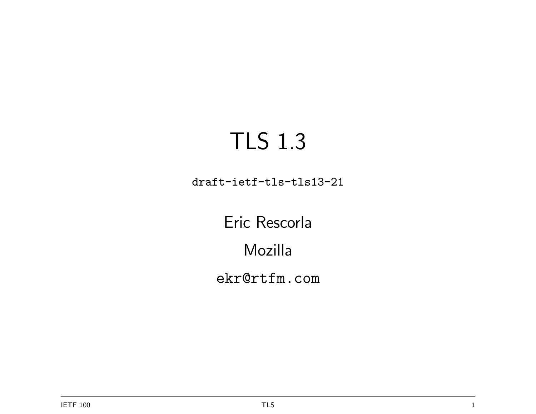# TLS 1.3

draft-ietf-tls-tls13-21

Eric Rescorla Mozilla ekr@rtfm.com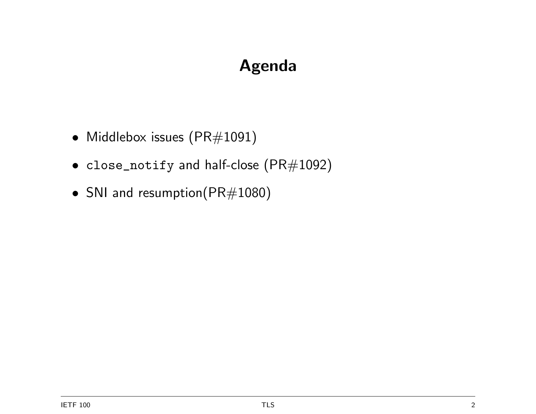## Agenda

- Middlebox issues (PR#1091)
- close\_notify and half-close (PR#1092)
- SNI and resumption(PR#1080)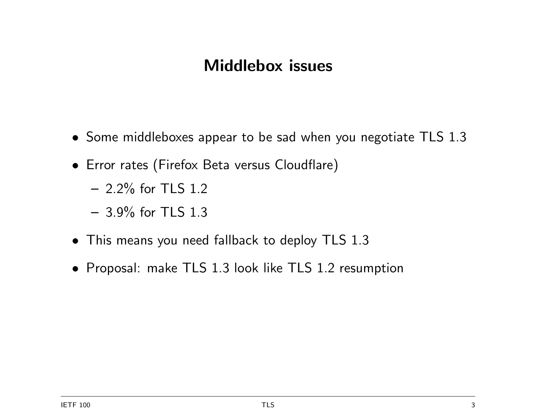#### Middlebox issues

- Some middleboxes appear to be sad when you negotiate TLS 1.3
- Error rates (Firefox Beta versus Cloudflare)
	- $-$  2.2% for TLS 1.2
	- 3.9% for TLS 1.3
- This means you need fallback to deploy TLS 1.3
- Proposal: make TLS 1.3 look like TLS 1.2 resumption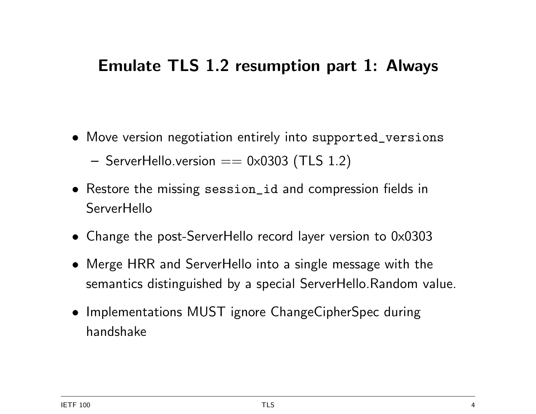#### Emulate TLS 1.2 resumption part 1: Always

- Move version negotiation entirely into supported\_versions
	- $-$  ServerHello.version  $== 0 \times 0303$  (TLS 1.2)
- Restore the missing session\_id and compression fields in **ServerHello**
- Change the post-ServerHello record layer version to 0x0303
- Merge HRR and ServerHello into a single message with the semantics distinguished by a special ServerHello.Random value.
- Implementations MUST ignore ChangeCipherSpec during handshake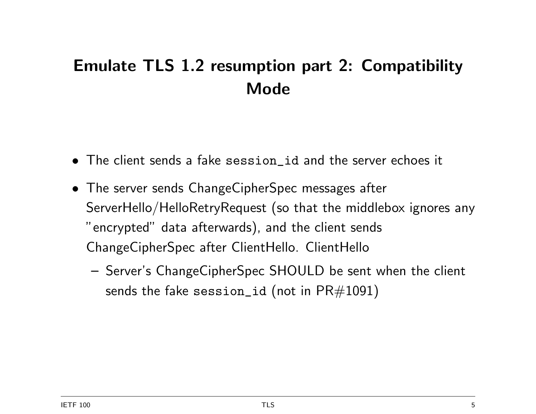## Emulate TLS 1.2 resumption part 2: Compatibility Mode

- The client sends a fake session\_id and the server echoes it
- The server sends ChangeCipherSpec messages after ServerHello/HelloRetryRequest (so that the middlebox ignores any "encrypted" data afterwards), and the client sends ChangeCipherSpec after ClientHello. ClientHello
	- Server's ChangeCipherSpec SHOULD be sent when the client sends the fake session\_id (not in  $\text{PR#1091}$ )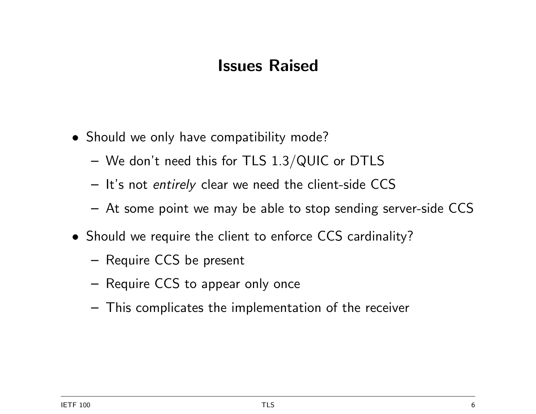#### Issues Raised

- Should we only have compatibility mode?
	- We don't need this for TLS 1.3/QUIC or DTLS
	- It's not entirely clear we need the client-side CCS
	- At some point we may be able to stop sending server-side CCS
- Should we require the client to enforce CCS cardinality?
	- Require CCS be present
	- Require CCS to appear only once
	- This complicates the implementation of the receiver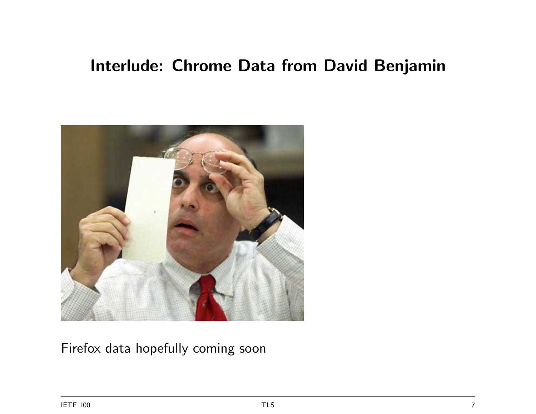#### Interlude: Chrome Data from David Benjamin



Firefox data hopefully coming soon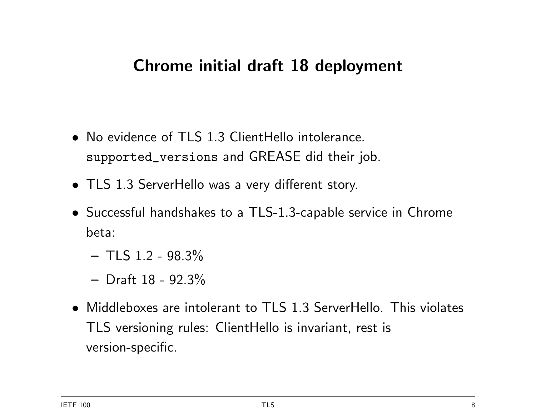#### Chrome initial draft 18 deployment

- No evidence of TLS 1.3 ClientHello intolerance. supported\_versions and GREASE did their job.
- TLS 1.3 ServerHello was a very different story.
- Successful handshakes to a TLS-1.3-capable service in Chrome beta:
	- $-$  TLS 1.2 98.3%
	- Draft 18 92.3%
- Middleboxes are intolerant to TLS 1.3 ServerHello. This violates TLS versioning rules: ClientHello is invariant, rest is version-specific.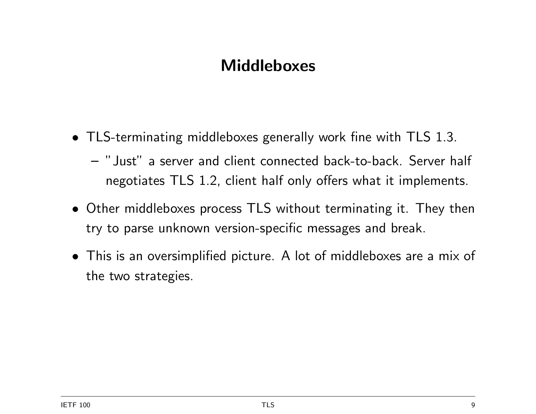#### **Middleboxes**

- TLS-terminating middleboxes generally work fine with TLS 1.3.
	- "Just" a server and client connected back-to-back. Server half negotiates TLS 1.2, client half only offers what it implements.
- Other middleboxes process TLS without terminating it. They then try to parse unknown version-specific messages and break.
- This is an oversimplified picture. A lot of middleboxes are a mix of the two strategies.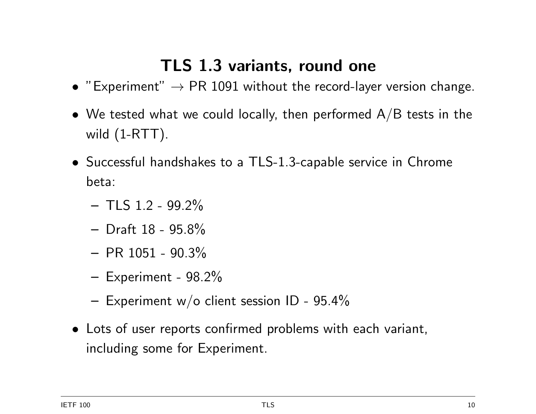## TLS 1.3 variants, round one

- "Experiment"  $\rightarrow$  PR 1091 without the record-layer version change.
- We tested what we could locally, then performed  $A/B$  tests in the wild (1-RTT).
- Successful handshakes to a TLS-1.3-capable service in Chrome beta:
	- $-$  TLS 1.2 99.2%
	- Draft 18 95.8%
	- $-$  PR 1051 90.3%
	- Experiment 98.2%
	- Experiment w/o client session ID  $95.4\%$
- Lots of user reports confirmed problems with each variant, including some for Experiment.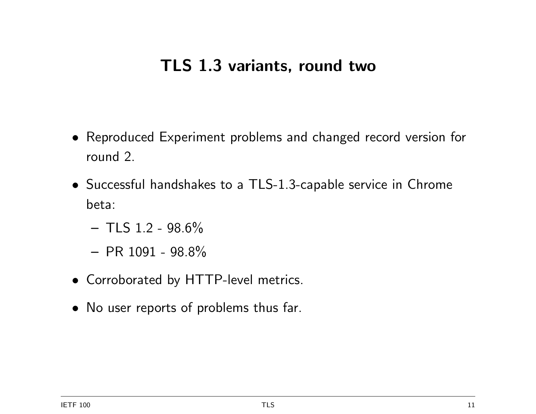#### TLS 1.3 variants, round two

- Reproduced Experiment problems and changed record version for round 2.
- Successful handshakes to a TLS-1.3-capable service in Chrome beta:
	- $-$  TLS 1.2 98.6%
	- $-$  PR 1091 98.8%
- Corroborated by HTTP-level metrics.
- No user reports of problems thus far.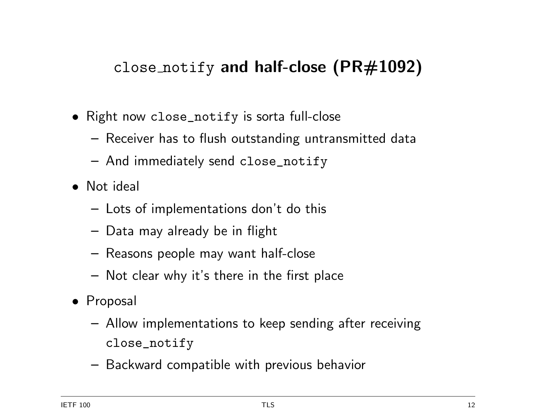### close notify and half-close  $(PR#1092)$

- Right now close\_notify is sorta full-close
	- Receiver has to flush outstanding untransmitted data
	- And immediately send close\_notify
- Not ideal
	- Lots of implementations don't do this
	- Data may already be in flight
	- Reasons people may want half-close
	- Not clear why it's there in the first place
- Proposal
	- Allow implementations to keep sending after receiving close\_notify
	- Backward compatible with previous behavior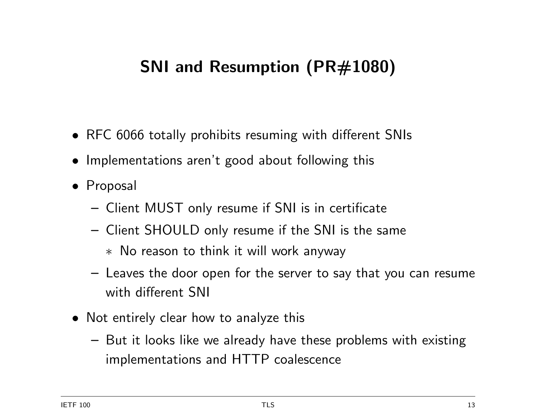## SNI and Resumption (PR#1080)

- RFC 6066 totally prohibits resuming with different SNIs
- Implementations aren't good about following this
- Proposal
	- Client MUST only resume if SNI is in certificate
	- Client SHOULD only resume if the SNI is the same
		- ∗ No reason to think it will work anyway
	- Leaves the door open for the server to say that you can resume with different SNI
- Not entirely clear how to analyze this
	- But it looks like we already have these problems with existing implementations and HTTP coalescence